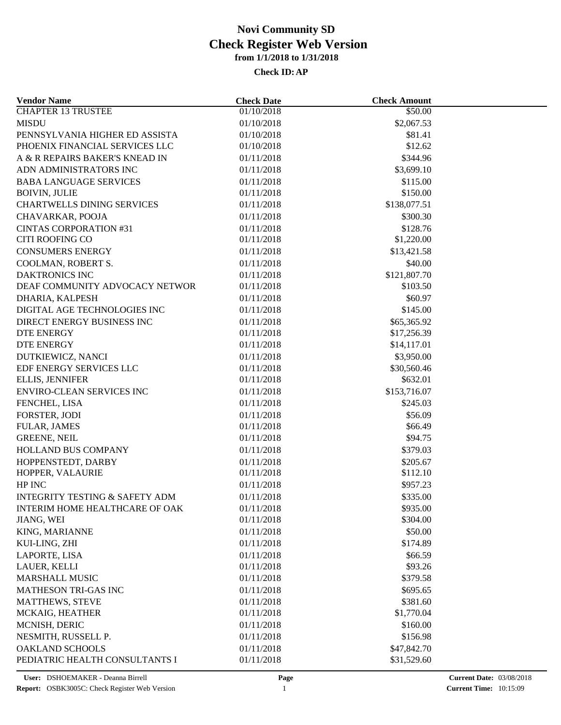| <b>Vendor Name</b>                        | <b>Check Date</b>        | <b>Check Amount</b> |  |
|-------------------------------------------|--------------------------|---------------------|--|
| <b>CHAPTER 13 TRUSTEE</b>                 | 01/10/2018               | \$50.00             |  |
| <b>MISDU</b>                              | 01/10/2018               | \$2,067.53          |  |
| PENNSYLVANIA HIGHER ED ASSISTA            | 01/10/2018               | \$81.41             |  |
| PHOENIX FINANCIAL SERVICES LLC            | 01/10/2018               | \$12.62             |  |
| A & R REPAIRS BAKER'S KNEAD IN            | 01/11/2018               | \$344.96            |  |
| ADN ADMINISTRATORS INC                    | 01/11/2018               | \$3,699.10          |  |
| <b>BABA LANGUAGE SERVICES</b>             | 01/11/2018               | \$115.00            |  |
| <b>BOIVIN, JULIE</b>                      | 01/11/2018               | \$150.00            |  |
| <b>CHARTWELLS DINING SERVICES</b>         | 01/11/2018               | \$138,077.51        |  |
| CHAVARKAR, POOJA                          | 01/11/2018               | \$300.30            |  |
| <b>CINTAS CORPORATION #31</b>             | 01/11/2018               | \$128.76            |  |
| CITI ROOFING CO                           | 01/11/2018               | \$1,220.00          |  |
| <b>CONSUMERS ENERGY</b>                   | 01/11/2018               | \$13,421.58         |  |
| COOLMAN, ROBERT S.                        | 01/11/2018               | \$40.00             |  |
| <b>DAKTRONICS INC</b>                     | 01/11/2018               | \$121,807.70        |  |
| DEAF COMMUNITY ADVOCACY NETWOR            | 01/11/2018               | \$103.50            |  |
| DHARIA, KALPESH                           | 01/11/2018               | \$60.97             |  |
| DIGITAL AGE TECHNOLOGIES INC              | 01/11/2018               | \$145.00            |  |
| DIRECT ENERGY BUSINESS INC                | 01/11/2018               | \$65,365.92         |  |
| DTE ENERGY                                | 01/11/2018               | \$17,256.39         |  |
| DTE ENERGY                                | 01/11/2018               | \$14,117.01         |  |
| DUTKIEWICZ, NANCI                         | 01/11/2018               | \$3,950.00          |  |
| EDF ENERGY SERVICES LLC                   | 01/11/2018               | \$30,560.46         |  |
| ELLIS, JENNIFER                           | 01/11/2018               | \$632.01            |  |
| ENVIRO-CLEAN SERVICES INC                 | 01/11/2018               | \$153,716.07        |  |
| FENCHEL, LISA                             | 01/11/2018               | \$245.03            |  |
| FORSTER, JODI                             | 01/11/2018               | \$56.09             |  |
| <b>FULAR, JAMES</b>                       | 01/11/2018               | \$66.49             |  |
| <b>GREENE, NEIL</b>                       | 01/11/2018               | \$94.75             |  |
| HOLLAND BUS COMPANY                       | 01/11/2018               | \$379.03            |  |
| HOPPENSTEDT, DARBY                        | 01/11/2018               | \$205.67            |  |
| HOPPER, VALAURIE                          | 01/11/2018               | \$112.10            |  |
| HP INC                                    | 01/11/2018               | \$957.23            |  |
| <b>INTEGRITY TESTING &amp; SAFETY ADM</b> | 01/11/2018               | \$335.00            |  |
| INTERIM HOME HEALTHCARE OF OAK            | 01/11/2018               | \$935.00            |  |
| JIANG, WEI                                | 01/11/2018               | \$304.00            |  |
| KING, MARIANNE                            | 01/11/2018               | \$50.00             |  |
| KUI-LING, ZHI                             | 01/11/2018               | \$174.89            |  |
|                                           |                          |                     |  |
| LAPORTE, LISA<br>LAUER, KELLI             | 01/11/2018<br>01/11/2018 | \$66.59<br>\$93.26  |  |
| <b>MARSHALL MUSIC</b>                     | 01/11/2018               |                     |  |
|                                           |                          | \$379.58            |  |
| MATHESON TRI-GAS INC                      | 01/11/2018               | \$695.65            |  |
| <b>MATTHEWS, STEVE</b>                    | 01/11/2018               | \$381.60            |  |
| MCKAIG, HEATHER                           | 01/11/2018               | \$1,770.04          |  |
| MCNISH, DERIC                             | 01/11/2018               | \$160.00            |  |
| NESMITH, RUSSELL P.                       | 01/11/2018               | \$156.98            |  |
| <b>OAKLAND SCHOOLS</b>                    | 01/11/2018               | \$47,842.70         |  |
| PEDIATRIC HEALTH CONSULTANTS I            | 01/11/2018               | \$31,529.60         |  |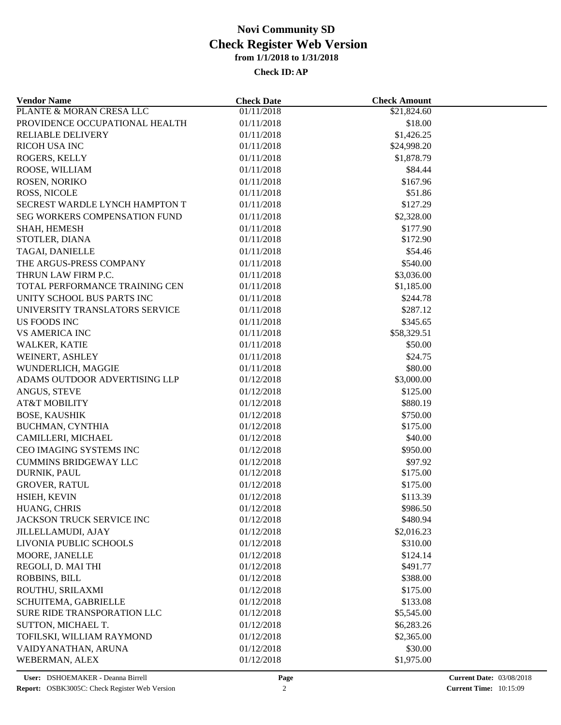| <b>Vendor Name</b>             | <b>Check Date</b>       | <b>Check Amount</b> |  |
|--------------------------------|-------------------------|---------------------|--|
| PLANTE & MORAN CRESA LLC       | $\overline{01/11/2018}$ | \$21,824.60         |  |
| PROVIDENCE OCCUPATIONAL HEALTH | 01/11/2018              | \$18.00             |  |
| <b>RELIABLE DELIVERY</b>       | 01/11/2018              | \$1,426.25          |  |
| RICOH USA INC                  | 01/11/2018              | \$24,998.20         |  |
| ROGERS, KELLY                  | 01/11/2018              | \$1,878.79          |  |
| ROOSE, WILLIAM                 | 01/11/2018              | \$84.44             |  |
| ROSEN, NORIKO                  | 01/11/2018              | \$167.96            |  |
| ROSS, NICOLE                   | 01/11/2018              | \$51.86             |  |
| SECREST WARDLE LYNCH HAMPTON T | 01/11/2018              | \$127.29            |  |
| SEG WORKERS COMPENSATION FUND  | 01/11/2018              | \$2,328.00          |  |
| SHAH, HEMESH                   | 01/11/2018              | \$177.90            |  |
| STOTLER, DIANA                 | 01/11/2018              | \$172.90            |  |
| TAGAI, DANIELLE                | 01/11/2018              | \$54.46             |  |
| THE ARGUS-PRESS COMPANY        | 01/11/2018              | \$540.00            |  |
| THRUN LAW FIRM P.C.            | 01/11/2018              | \$3,036.00          |  |
| TOTAL PERFORMANCE TRAINING CEN | 01/11/2018              | \$1,185.00          |  |
| UNITY SCHOOL BUS PARTS INC     | 01/11/2018              | \$244.78            |  |
| UNIVERSITY TRANSLATORS SERVICE | 01/11/2018              | \$287.12            |  |
| US FOODS INC                   | 01/11/2018              | \$345.65            |  |
| <b>VS AMERICA INC</b>          | 01/11/2018              | \$58,329.51         |  |
| WALKER, KATIE                  | 01/11/2018              | \$50.00             |  |
| WEINERT, ASHLEY                | 01/11/2018              | \$24.75             |  |
| WUNDERLICH, MAGGIE             | 01/11/2018              | \$80.00             |  |
| ADAMS OUTDOOR ADVERTISING LLP  | 01/12/2018              | \$3,000.00          |  |
| ANGUS, STEVE                   | 01/12/2018              | \$125.00            |  |
| <b>AT&amp;T MOBILITY</b>       | 01/12/2018              | \$880.19            |  |
| <b>BOSE, KAUSHIK</b>           | 01/12/2018              | \$750.00            |  |
| BUCHMAN, CYNTHIA               | 01/12/2018              | \$175.00            |  |
| CAMILLERI, MICHAEL             | 01/12/2018              | \$40.00             |  |
| CEO IMAGING SYSTEMS INC        | 01/12/2018              | \$950.00            |  |
|                                |                         |                     |  |
| <b>CUMMINS BRIDGEWAY LLC</b>   | 01/12/2018              | \$97.92<br>\$175.00 |  |
| DURNIK, PAUL                   | 01/12/2018              |                     |  |
| <b>GROVER, RATUL</b>           | 01/12/2018              | \$175.00            |  |
| HSIEH, KEVIN                   | 01/12/2018              | \$113.39            |  |
| HUANG, CHRIS                   | 01/12/2018              | \$986.50            |  |
| JACKSON TRUCK SERVICE INC      | 01/12/2018              | \$480.94            |  |
| <b>JILLELLAMUDI, AJAY</b>      | 01/12/2018              | \$2,016.23          |  |
| LIVONIA PUBLIC SCHOOLS         | 01/12/2018              | \$310.00            |  |
| MOORE, JANELLE                 | 01/12/2018              | \$124.14            |  |
| REGOLI, D. MAI THI             | 01/12/2018              | \$491.77            |  |
| <b>ROBBINS, BILL</b>           | 01/12/2018              | \$388.00            |  |
| ROUTHU, SRILAXMI               | 01/12/2018              | \$175.00            |  |
| SCHUITEMA, GABRIELLE           | 01/12/2018              | \$133.08            |  |
| SURE RIDE TRANSPORATION LLC    | 01/12/2018              | \$5,545.00          |  |
| SUTTON, MICHAEL T.             | 01/12/2018              | \$6,283.26          |  |
| TOFILSKI, WILLIAM RAYMOND      | 01/12/2018              | \$2,365.00          |  |
| VAIDYANATHAN, ARUNA            | 01/12/2018              | \$30.00             |  |
| WEBERMAN, ALEX                 | 01/12/2018              | \$1,975.00          |  |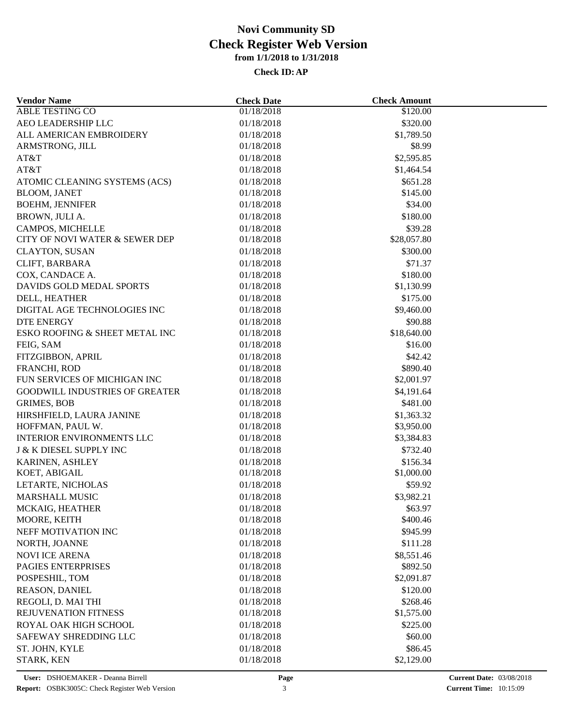| <b>Vendor Name</b>                         | <b>Check Date</b> | <b>Check Amount</b>    |  |
|--------------------------------------------|-------------------|------------------------|--|
| <b>ABLE TESTING CO</b>                     | 01/18/2018        | \$120.00               |  |
| AEO LEADERSHIP LLC                         | 01/18/2018        | \$320.00               |  |
| ALL AMERICAN EMBROIDERY                    | 01/18/2018        | \$1,789.50             |  |
| ARMSTRONG, JILL                            | 01/18/2018        | \$8.99                 |  |
| AT&T                                       | 01/18/2018        | \$2,595.85             |  |
| AT&T                                       | 01/18/2018        | \$1,464.54             |  |
| ATOMIC CLEANING SYSTEMS (ACS)              | 01/18/2018        | \$651.28               |  |
| <b>BLOOM, JANET</b>                        | 01/18/2018        | \$145.00               |  |
| <b>BOEHM, JENNIFER</b>                     | 01/18/2018        | \$34.00                |  |
| BROWN, JULI A.                             | 01/18/2018        | \$180.00               |  |
| CAMPOS, MICHELLE                           | 01/18/2018        | \$39.28                |  |
| CITY OF NOVI WATER & SEWER DEP             | 01/18/2018        | \$28,057.80            |  |
| <b>CLAYTON, SUSAN</b>                      | 01/18/2018        | \$300.00               |  |
| CLIFT, BARBARA                             | 01/18/2018        | \$71.37                |  |
| COX, CANDACE A.                            | 01/18/2018        | \$180.00               |  |
| DAVIDS GOLD MEDAL SPORTS                   | 01/18/2018        | \$1,130.99             |  |
| DELL, HEATHER                              | 01/18/2018        | \$175.00               |  |
| DIGITAL AGE TECHNOLOGIES INC               | 01/18/2018        | \$9,460.00             |  |
| <b>DTE ENERGY</b>                          | 01/18/2018        | \$90.88                |  |
| ESKO ROOFING & SHEET METAL INC             | 01/18/2018        | \$18,640.00            |  |
| FEIG, SAM                                  | 01/18/2018        | \$16.00                |  |
| FITZGIBBON, APRIL                          | 01/18/2018        | \$42.42                |  |
| FRANCHI, ROD                               | 01/18/2018        | \$890.40               |  |
| FUN SERVICES OF MICHIGAN INC               | 01/18/2018        | \$2,001.97             |  |
| <b>GOODWILL INDUSTRIES OF GREATER</b>      | 01/18/2018        | \$4,191.64             |  |
| <b>GRIMES, BOB</b>                         | 01/18/2018        | \$481.00               |  |
| HIRSHFIELD, LAURA JANINE                   | 01/18/2018        | \$1,363.32             |  |
| HOFFMAN, PAUL W.                           | 01/18/2018        | \$3,950.00             |  |
| <b>INTERIOR ENVIRONMENTS LLC</b>           | 01/18/2018        | \$3,384.83             |  |
| <b>J &amp; K DIESEL SUPPLY INC</b>         | 01/18/2018        | \$732.40               |  |
| KARINEN, ASHLEY                            | 01/18/2018        | \$156.34               |  |
| KOET, ABIGAIL                              | 01/18/2018        | \$1,000.00             |  |
| LETARTE, NICHOLAS                          | 01/18/2018        | \$59.92                |  |
| <b>MARSHALL MUSIC</b>                      | 01/18/2018        | \$3,982.21             |  |
| MCKAIG, HEATHER                            | 01/18/2018        | \$63.97                |  |
| MOORE, KEITH                               | 01/18/2018        | \$400.46               |  |
| NEFF MOTIVATION INC                        | 01/18/2018        | \$945.99               |  |
| NORTH, JOANNE                              | 01/18/2018        | \$111.28               |  |
| <b>NOVI ICE ARENA</b>                      | 01/18/2018        | \$8,551.46             |  |
| PAGIES ENTERPRISES                         | 01/18/2018        | \$892.50               |  |
| POSPESHIL, TOM                             | 01/18/2018        | \$2,091.87             |  |
| REASON, DANIEL                             | 01/18/2018        | \$120.00               |  |
|                                            | 01/18/2018        | \$268.46               |  |
| REGOLI, D. MAI THI<br>REJUVENATION FITNESS | 01/18/2018        |                        |  |
| ROYAL OAK HIGH SCHOOL                      | 01/18/2018        | \$1,575.00<br>\$225.00 |  |
|                                            |                   |                        |  |
| SAFEWAY SHREDDING LLC                      | 01/18/2018        | \$60.00                |  |
| ST. JOHN, KYLE                             | 01/18/2018        | \$86.45                |  |
| STARK, KEN                                 | 01/18/2018        | \$2,129.00             |  |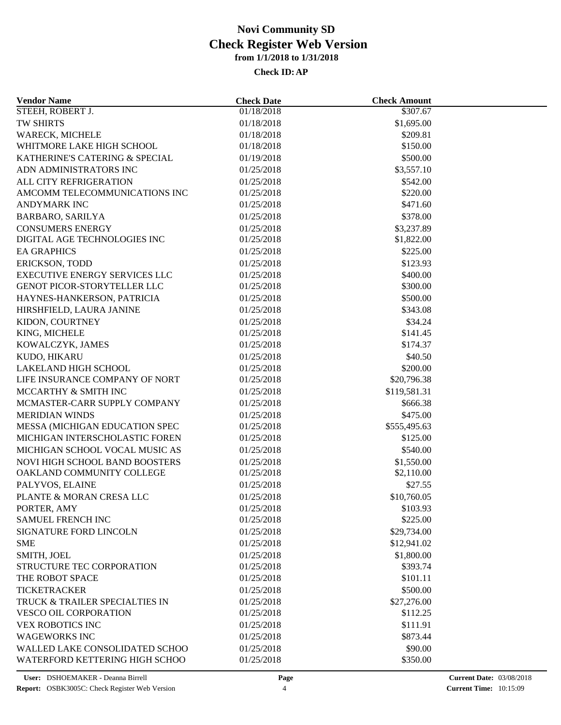| <b>Vendor Name</b>                                     | <b>Check Date</b> | <b>Check Amount</b>     |  |
|--------------------------------------------------------|-------------------|-------------------------|--|
| STEEH, ROBERT J.                                       | 01/18/2018        | \$307.67                |  |
| TW SHIRTS                                              | 01/18/2018        | \$1,695.00              |  |
| <b>WARECK, MICHELE</b>                                 | 01/18/2018        | \$209.81                |  |
| WHITMORE LAKE HIGH SCHOOL                              | 01/18/2018        | \$150.00                |  |
| KATHERINE'S CATERING & SPECIAL                         | 01/19/2018        | \$500.00                |  |
| ADN ADMINISTRATORS INC                                 | 01/25/2018        | \$3,557.10              |  |
| ALL CITY REFRIGERATION                                 | 01/25/2018        | \$542.00                |  |
| AMCOMM TELECOMMUNICATIONS INC                          | 01/25/2018        | \$220.00                |  |
| <b>ANDYMARK INC</b>                                    | 01/25/2018        | \$471.60                |  |
| BARBARO, SARILYA                                       | 01/25/2018        | \$378.00                |  |
| <b>CONSUMERS ENERGY</b>                                | 01/25/2018        | \$3,237.89              |  |
| DIGITAL AGE TECHNOLOGIES INC                           | 01/25/2018        | \$1,822.00              |  |
| <b>EA GRAPHICS</b>                                     | 01/25/2018        | \$225.00                |  |
| ERICKSON, TODD                                         | 01/25/2018        | \$123.93                |  |
| <b>EXECUTIVE ENERGY SERVICES LLC</b>                   | 01/25/2018        | \$400.00                |  |
| GENOT PICOR-STORYTELLER LLC                            | 01/25/2018        | \$300.00                |  |
| HAYNES-HANKERSON, PATRICIA                             | 01/25/2018        | \$500.00                |  |
| HIRSHFIELD, LAURA JANINE                               | 01/25/2018        | \$343.08                |  |
| KIDON, COURTNEY                                        | 01/25/2018        | \$34.24                 |  |
| KING, MICHELE                                          | 01/25/2018        | \$141.45                |  |
| KOWALCZYK, JAMES                                       | 01/25/2018        | \$174.37                |  |
| KUDO, HIKARU                                           | 01/25/2018        | \$40.50                 |  |
|                                                        |                   |                         |  |
| LAKELAND HIGH SCHOOL<br>LIFE INSURANCE COMPANY OF NORT | 01/25/2018        | \$200.00<br>\$20,796.38 |  |
|                                                        | 01/25/2018        |                         |  |
| MCCARTHY & SMITH INC                                   | 01/25/2018        | \$119,581.31            |  |
| MCMASTER-CARR SUPPLY COMPANY                           | 01/25/2018        | \$666.38                |  |
| <b>MERIDIAN WINDS</b>                                  | 01/25/2018        | \$475.00                |  |
| MESSA (MICHIGAN EDUCATION SPEC                         | 01/25/2018        | \$555,495.63            |  |
| MICHIGAN INTERSCHOLASTIC FOREN                         | 01/25/2018        | \$125.00                |  |
| MICHIGAN SCHOOL VOCAL MUSIC AS                         | 01/25/2018        | \$540.00                |  |
| NOVI HIGH SCHOOL BAND BOOSTERS                         | 01/25/2018        | \$1,550.00              |  |
| OAKLAND COMMUNITY COLLEGE                              | 01/25/2018        | \$2,110.00              |  |
| PALYVOS, ELAINE                                        | 01/25/2018        | \$27.55                 |  |
| PLANTE & MORAN CRESA LLC                               | 01/25/2018        | \$10,760.05             |  |
| PORTER, AMY                                            | 01/25/2018        | \$103.93                |  |
| SAMUEL FRENCH INC                                      | 01/25/2018        | \$225.00                |  |
| <b>SIGNATURE FORD LINCOLN</b>                          | 01/25/2018        | \$29,734.00             |  |
| <b>SME</b>                                             | 01/25/2018        | \$12,941.02             |  |
| SMITH, JOEL                                            | 01/25/2018        | \$1,800.00              |  |
| STRUCTURE TEC CORPORATION                              | 01/25/2018        | \$393.74                |  |
| THE ROBOT SPACE                                        | 01/25/2018        | \$101.11                |  |
| <b>TICKETRACKER</b>                                    | 01/25/2018        | \$500.00                |  |
| TRUCK & TRAILER SPECIALTIES IN                         | 01/25/2018        | \$27,276.00             |  |
| <b>VESCO OIL CORPORATION</b>                           | 01/25/2018        | \$112.25                |  |
| <b>VEX ROBOTICS INC</b>                                | 01/25/2018        | \$111.91                |  |
| <b>WAGEWORKS INC</b>                                   | 01/25/2018        | \$873.44                |  |
| WALLED LAKE CONSOLIDATED SCHOO                         | 01/25/2018        | \$90.00                 |  |
| WATERFORD KETTERING HIGH SCHOO                         | 01/25/2018        | \$350.00                |  |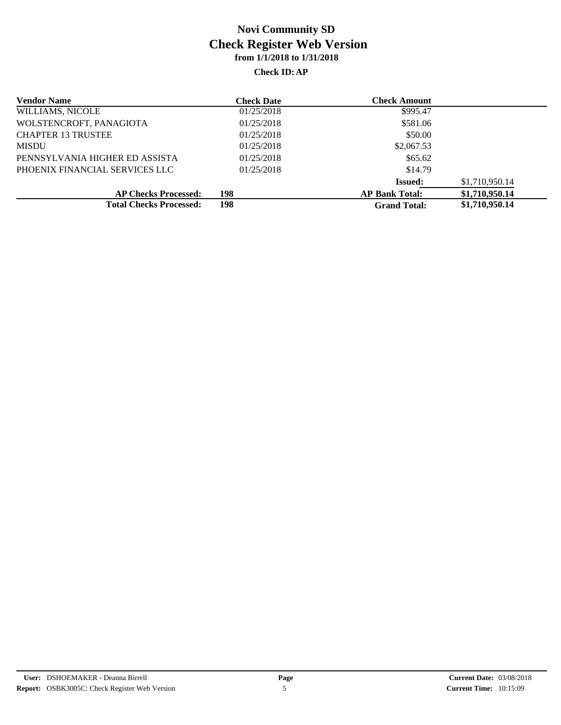| <b>Vendor Name</b>             | <b>Check Date</b> | <b>Check Amount</b>   |                |
|--------------------------------|-------------------|-----------------------|----------------|
| WILLIAMS, NICOLE               | 01/25/2018        | \$995.47              |                |
| WOLSTENCROFT, PANAGIOTA        | 01/25/2018        | \$581.06              |                |
| <b>CHAPTER 13 TRUSTEE</b>      | 01/25/2018        | \$50.00               |                |
| <b>MISDU</b>                   | 01/25/2018        | \$2,067.53            |                |
| PENNSYLVANIA HIGHER ED ASSISTA | 01/25/2018        | \$65.62               |                |
| PHOENIX FINANCIAL SERVICES LLC | 01/25/2018        | \$14.79               |                |
|                                |                   | <b>Issued:</b>        | \$1,710,950.14 |
| <b>AP Checks Processed:</b>    | 198               | <b>AP Bank Total:</b> | \$1,710,950.14 |
| <b>Total Checks Processed:</b> | 198               | <b>Grand Total:</b>   | \$1,710,950.14 |